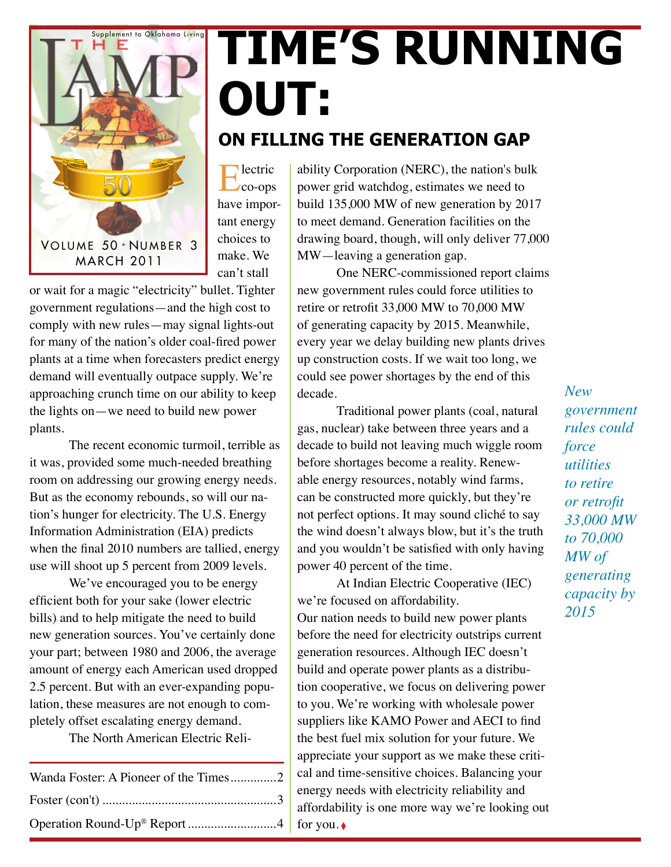

# **Time's Running Out:**

#### **On filling the Generation Gap**

Electric co-ops have important energy choices to make. We can't stall

or wait for a magic "electricity" bullet. Tighter government regulations—and the high cost to comply with new rules—may signal lights-out for many of the nation's older coal-fired power plants at a time when forecasters predict energy demand will eventually outpace supply. We're approaching crunch time on our ability to keep the lights on—we need to build new power plants.

The recent economic turmoil, terrible as it was, provided some much-needed breathing room on addressing our growing energy needs. But as the economy rebounds, so will our nation's hunger for electricity. The U.S. Energy Information Administration (EIA) predicts when the final 2010 numbers are tallied, energy use will shoot up 5 percent from 2009 levels.

We've encouraged you to be energy efficient both for your sake (lower electric bills) and to help mitigate the need to build new generation sources. You've certainly done your part; between 1980 and 2006, the average amount of energy each American used dropped 2.5 percent. But with an ever-expanding population, these measures are not enough to completely offset escalating energy demand.

The North American Electric Reli-

| Wanda Foster: A Pioneer of the Times2 |  |
|---------------------------------------|--|
|                                       |  |
|                                       |  |

ability Corporation (NERC), the nation's bulk power grid watchdog, estimates we need to build 135,000 MW of new generation by 2017 to meet demand. Generation facilities on the drawing board, though, will only deliver 77,000 MW—leaving a generation gap.

One NERC-commissioned report claims new government rules could force utilities to retire or retrofit 33,000 MW to 70,000 MW of generating capacity by 2015. Meanwhile, every year we delay building new plants drives up construction costs. If we wait too long, we could see power shortages by the end of this decade.

Traditional power plants (coal, natural gas, nuclear) take between three years and a decade to build not leaving much wiggle room before shortages become a reality. Renewable energy resources, notably wind farms, can be constructed more quickly, but they're not perfect options. It may sound cliché to say the wind doesn't always blow, but it's the truth and you wouldn't be satisfied with only having power 40 percent of the time.

At Indian Electric Cooperative (IEC) we're focused on affordability. Our nation needs to build new power plants before the need for electricity outstrips current generation resources. Although IEC doesn't build and operate power plants as a distribution cooperative, we focus on delivering power to you. We're working with wholesale power suppliers like KAMO Power and AECI to find the best fuel mix solution for your future. We appreciate your support as we make these critical and time-sensitive choices. Balancing your energy needs with electricity reliability and affordability is one more way we're looking out for you. ♦

*New government rules could force utilities to retire or retrofit 33,000 MW to 70,000 MW of generating capacity by 2015*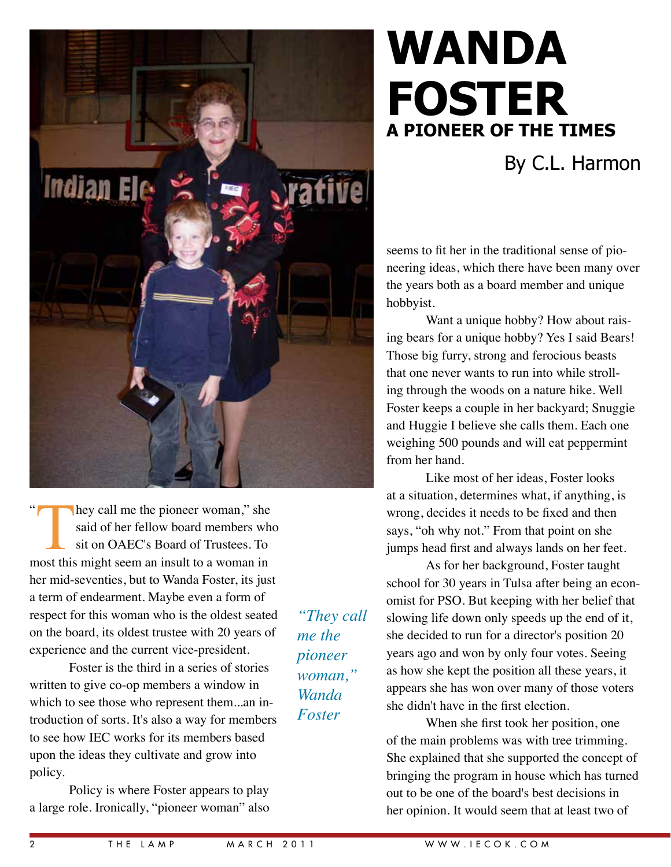

### By C.L. Harmon

seems to fit her in the traditional sense of pioneering ideas, which there have been many over the years both as a board member and unique hobbyist.

Want a unique hobby? How about raising bears for a unique hobby? Yes I said Bears! Those big furry, strong and ferocious beasts that one never wants to run into while strolling through the woods on a nature hike. Well Foster keeps a couple in her backyard; Snuggie and Huggie I believe she calls them. Each one weighing 500 pounds and will eat peppermint from her hand.

Like most of her ideas, Foster looks at a situation, determines what, if anything, is wrong, decides it needs to be fixed and then says, "oh why not." From that point on she jumps head first and always lands on her feet.

As for her background, Foster taught school for 30 years in Tulsa after being an economist for PSO. But keeping with her belief that slowing life down only speeds up the end of it, she decided to run for a director's position 20 years ago and won by only four votes. Seeing as how she kept the position all these years, it appears she has won over many of those voters she didn't have in the first election.

When she first took her position, one of the main problems was with tree trimming. She explained that she supported the concept of bringing the program in house which has turned out to be one of the board's best decisions in her opinion. It would seem that at least two of

hey call me the pioneer woman," she said of her fellow board members who sit on OAEC's Board of Trustees. To most this might seem an insult to a woman in her mid-seventies, but to Wanda Foster, its just a term of endearment. Maybe even a form of respect for this woman who is the oldest seated on the board, its oldest trustee with 20 years of experience and the current vice-president. "

**Indian Ele** 

Foster is the third in a series of stories written to give co-op members a window in which to see those who represent them...an introduction of sorts. It's also a way for members to see how IEC works for its members based upon the ideas they cultivate and grow into policy.

Policy is where Foster appears to play a large role. Ironically, "pioneer woman" also

*"They call me the pioneer woman," Wanda Foster*

*<u>stative</u>*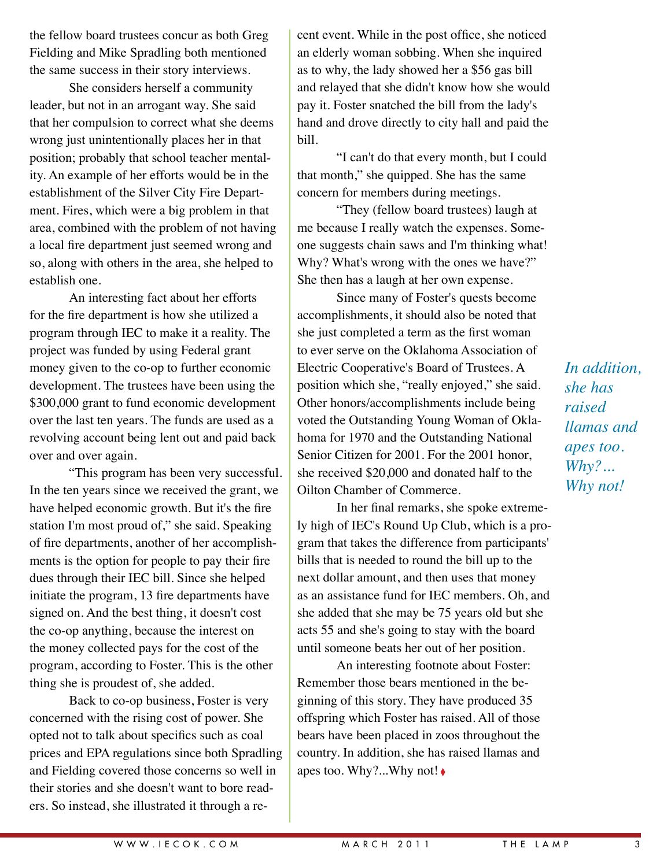the fellow board trustees concur as both Greg Fielding and Mike Spradling both mentioned the same success in their story interviews.

She considers herself a community leader, but not in an arrogant way. She said that her compulsion to correct what she deems wrong just unintentionally places her in that position; probably that school teacher mentality. An example of her efforts would be in the establishment of the Silver City Fire Department. Fires, which were a big problem in that area, combined with the problem of not having a local fire department just seemed wrong and so, along with others in the area, she helped to establish one.

An interesting fact about her efforts for the fire department is how she utilized a program through IEC to make it a reality. The project was funded by using Federal grant money given to the co-op to further economic development. The trustees have been using the \$300,000 grant to fund economic development over the last ten years. The funds are used as a revolving account being lent out and paid back over and over again.

"This program has been very successful. In the ten years since we received the grant, we have helped economic growth. But it's the fire station I'm most proud of," she said. Speaking of fire departments, another of her accomplishments is the option for people to pay their fire dues through their IEC bill. Since she helped initiate the program, 13 fire departments have signed on. And the best thing, it doesn't cost the co-op anything, because the interest on the money collected pays for the cost of the program, according to Foster. This is the other thing she is proudest of, she added.

Back to co-op business, Foster is very concerned with the rising cost of power. She opted not to talk about specifics such as coal prices and EPA regulations since both Spradling and Fielding covered those concerns so well in their stories and she doesn't want to bore readers. So instead, she illustrated it through a re-

cent event. While in the post office, she noticed an elderly woman sobbing. When she inquired as to why, the lady showed her a \$56 gas bill and relayed that she didn't know how she would pay it. Foster snatched the bill from the lady's hand and drove directly to city hall and paid the bill.

"I can't do that every month, but I could that month," she quipped. She has the same concern for members during meetings.

"They (fellow board trustees) laugh at me because I really watch the expenses. Someone suggests chain saws and I'm thinking what! Why? What's wrong with the ones we have?" She then has a laugh at her own expense.

Since many of Foster's quests become accomplishments, it should also be noted that she just completed a term as the first woman to ever serve on the Oklahoma Association of Electric Cooperative's Board of Trustees. A position which she, "really enjoyed," she said. Other honors/accomplishments include being voted the Outstanding Young Woman of Oklahoma for 1970 and the Outstanding National Senior Citizen for 2001. For the 2001 honor, she received \$20,000 and donated half to the Oilton Chamber of Commerce.

In her final remarks, she spoke extremely high of IEC's Round Up Club, which is a program that takes the difference from participants' bills that is needed to round the bill up to the next dollar amount, and then uses that money as an assistance fund for IEC members. Oh, and she added that she may be 75 years old but she acts 55 and she's going to stay with the board until someone beats her out of her position.

An interesting footnote about Foster: Remember those bears mentioned in the beginning of this story. They have produced 35 offspring which Foster has raised. All of those bears have been placed in zoos throughout the country. In addition, she has raised llamas and apes too. Why?...Why not! ◊

*In addition, she has raised llamas and apes too. Why?... Why not!*